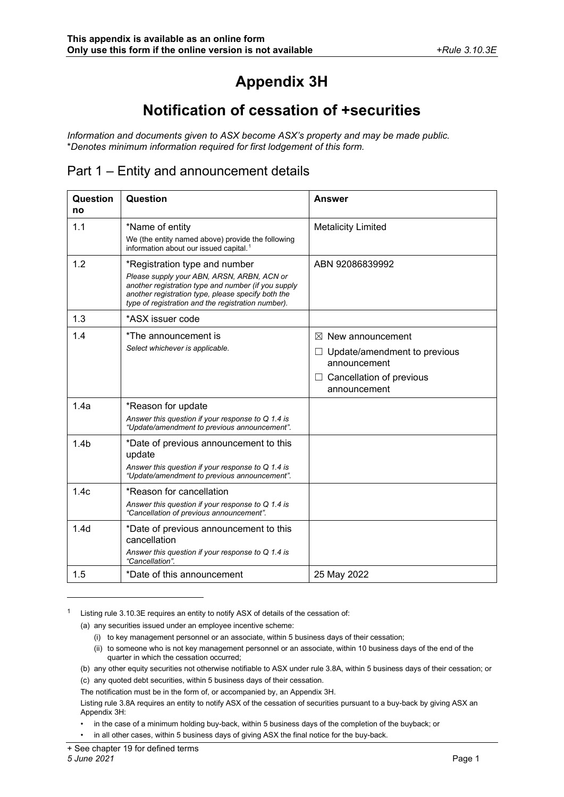# **Appendix 3H**

## **Notification of cessation of +securities**

*Information and documents given to ASX become ASX's property and may be made public.* \**Denotes minimum information required for first lodgement of this form.*

#### Part 1 – Entity and announcement details

| Question<br>no   | Question                                                                                                                                                                                                                                       | <b>Answer</b>                                                                                                            |
|------------------|------------------------------------------------------------------------------------------------------------------------------------------------------------------------------------------------------------------------------------------------|--------------------------------------------------------------------------------------------------------------------------|
| 1.1              | *Name of entity<br>We (the entity named above) provide the following<br>information about our issued capital. <sup>1</sup>                                                                                                                     | <b>Metalicity Limited</b>                                                                                                |
| 1.2              | *Registration type and number<br>Please supply your ABN, ARSN, ARBN, ACN or<br>another registration type and number (if you supply<br>another registration type, please specify both the<br>type of registration and the registration number). | ABN 92086839992                                                                                                          |
| 1.3              | *ASX issuer code                                                                                                                                                                                                                               |                                                                                                                          |
| 1.4              | *The announcement is<br>Select whichever is applicable.                                                                                                                                                                                        | $\boxtimes$ New announcement<br>Update/amendment to previous<br>announcement<br>Cancellation of previous<br>announcement |
| 1.4a             | *Reason for update<br>Answer this question if your response to $Q$ 1.4 is<br>"Update/amendment to previous announcement".                                                                                                                      |                                                                                                                          |
| 1.4 <sub>b</sub> | *Date of previous announcement to this<br>update<br>Answer this question if your response to Q 1.4 is<br>"Update/amendment to previous announcement".                                                                                          |                                                                                                                          |
| 1.4c             | *Reason for cancellation<br>Answer this question if your response to $Q$ 1.4 is<br>"Cancellation of previous announcement".                                                                                                                    |                                                                                                                          |
| 1.4 <sub>d</sub> | *Date of previous announcement to this<br>cancellation<br>Answer this question if your response to Q 1.4 is<br>"Cancellation".                                                                                                                 |                                                                                                                          |
| 1.5              | *Date of this announcement                                                                                                                                                                                                                     | 25 May 2022                                                                                                              |

<span id="page-0-0"></span><sup>1</sup> Listing rule 3.10.3E requires an entity to notify ASX of details of the cessation of:

- (a) any securities issued under an employee incentive scheme:
	- (i) to key management personnel or an associate, within 5 business days of their cessation;
	- (ii) to someone who is not key management personnel or an associate, within 10 business days of the end of the quarter in which the cessation occurred;
- (b) any other equity securities not otherwise notifiable to ASX under rule 3.8A, within 5 business days of their cessation; or (c) any quoted debt securities, within 5 business days of their cessation.

The notification must be in the form of, or accompanied by, an Appendix 3H.

Listing rule 3.8A requires an entity to notify ASX of the cessation of securities pursuant to a buy-back by giving ASX an Appendix 3H:

• in the case of a minimum holding buy-back, within 5 business days of the completion of the buyback; or

• in all other cases, within 5 business days of giving ASX the final notice for the buy-back.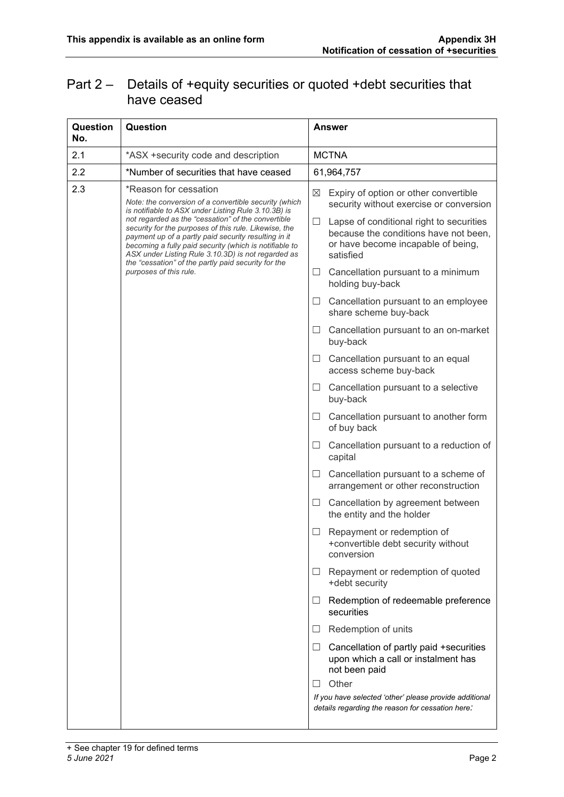### Part 2 – Details of +equity securities or quoted +debt securities that have ceased

| Question<br>No. | Question                                                                                                                                                                                                                                                                                                                                                                                                                                                                                                      | Answer                                                                                                                                    |
|-----------------|---------------------------------------------------------------------------------------------------------------------------------------------------------------------------------------------------------------------------------------------------------------------------------------------------------------------------------------------------------------------------------------------------------------------------------------------------------------------------------------------------------------|-------------------------------------------------------------------------------------------------------------------------------------------|
| 2.1             | *ASX +security code and description                                                                                                                                                                                                                                                                                                                                                                                                                                                                           | <b>MCTNA</b>                                                                                                                              |
| 2.2             | *Number of securities that have ceased                                                                                                                                                                                                                                                                                                                                                                                                                                                                        | 61,964,757                                                                                                                                |
| 2.3             | *Reason for cessation<br>Note: the conversion of a convertible security (which<br>is notifiable to ASX under Listing Rule 3.10.3B) is<br>not regarded as the "cessation" of the convertible<br>security for the purposes of this rule. Likewise, the<br>payment up of a partly paid security resulting in it<br>becoming a fully paid security (which is notifiable to<br>ASX under Listing Rule 3.10.3D) is not regarded as<br>the "cessation" of the partly paid security for the<br>purposes of this rule. | ⊠<br>Expiry of option or other convertible<br>security without exercise or conversion                                                     |
|                 |                                                                                                                                                                                                                                                                                                                                                                                                                                                                                                               | Lapse of conditional right to securities<br>ப<br>because the conditions have not been,<br>or have become incapable of being,<br>satisfied |
|                 |                                                                                                                                                                                                                                                                                                                                                                                                                                                                                                               | Cancellation pursuant to a minimum<br>$\Box$<br>holding buy-back                                                                          |
|                 |                                                                                                                                                                                                                                                                                                                                                                                                                                                                                                               | Cancellation pursuant to an employee<br>ப<br>share scheme buy-back                                                                        |
|                 |                                                                                                                                                                                                                                                                                                                                                                                                                                                                                                               | Cancellation pursuant to an on-market<br>ப<br>buy-back                                                                                    |
|                 |                                                                                                                                                                                                                                                                                                                                                                                                                                                                                                               | Cancellation pursuant to an equal<br>$\Box$<br>access scheme buy-back                                                                     |
|                 |                                                                                                                                                                                                                                                                                                                                                                                                                                                                                                               | Cancellation pursuant to a selective<br>ப<br>buy-back                                                                                     |
|                 |                                                                                                                                                                                                                                                                                                                                                                                                                                                                                                               | Cancellation pursuant to another form<br>$\Box$<br>of buy back                                                                            |
|                 |                                                                                                                                                                                                                                                                                                                                                                                                                                                                                                               | Cancellation pursuant to a reduction of<br>ப<br>capital                                                                                   |
|                 |                                                                                                                                                                                                                                                                                                                                                                                                                                                                                                               | Cancellation pursuant to a scheme of<br>$\Box$<br>arrangement or other reconstruction                                                     |
|                 |                                                                                                                                                                                                                                                                                                                                                                                                                                                                                                               | Cancellation by agreement between<br>ш<br>the entity and the holder                                                                       |
|                 |                                                                                                                                                                                                                                                                                                                                                                                                                                                                                                               | Repayment or redemption of<br>+convertible debt security without<br>conversion                                                            |
|                 |                                                                                                                                                                                                                                                                                                                                                                                                                                                                                                               | Repayment or redemption of quoted<br>$\Box$<br>+debt security                                                                             |
|                 |                                                                                                                                                                                                                                                                                                                                                                                                                                                                                                               | Redemption of redeemable preference<br>$\Box$<br>securities                                                                               |
|                 |                                                                                                                                                                                                                                                                                                                                                                                                                                                                                                               | Redemption of units<br>$\Box$                                                                                                             |
|                 |                                                                                                                                                                                                                                                                                                                                                                                                                                                                                                               | Cancellation of partly paid +securities<br>⊔<br>upon which a call or instalment has<br>not been paid                                      |
|                 |                                                                                                                                                                                                                                                                                                                                                                                                                                                                                                               | Other<br>$\perp$                                                                                                                          |
|                 |                                                                                                                                                                                                                                                                                                                                                                                                                                                                                                               | If you have selected 'other' please provide additional<br>details regarding the reason for cessation here:                                |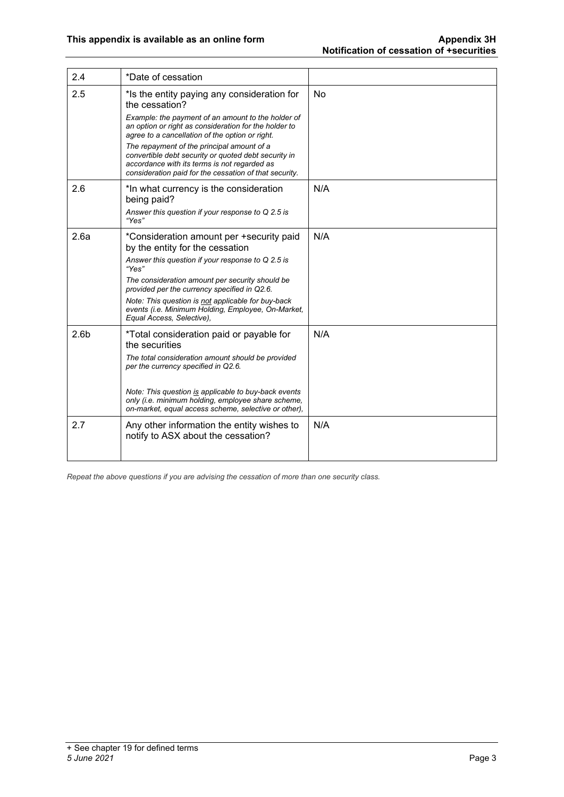| 2.4              | *Date of cessation                                                                                                                                                                                           |           |
|------------------|--------------------------------------------------------------------------------------------------------------------------------------------------------------------------------------------------------------|-----------|
| 2.5              | *Is the entity paying any consideration for<br>the cessation?                                                                                                                                                | <b>No</b> |
|                  | Example: the payment of an amount to the holder of<br>an option or right as consideration for the holder to<br>agree to a cancellation of the option or right.                                               |           |
|                  | The repayment of the principal amount of a<br>convertible debt security or quoted debt security in<br>accordance with its terms is not regarded as<br>consideration paid for the cessation of that security. |           |
| 2.6              | *In what currency is the consideration<br>being paid?                                                                                                                                                        | N/A       |
|                  | Answer this question if your response to Q 2.5 is<br>"Yes"                                                                                                                                                   |           |
| 2.6a             | *Consideration amount per +security paid<br>by the entity for the cessation                                                                                                                                  | N/A       |
|                  | Answer this question if your response to Q 2.5 is<br>"Yes"                                                                                                                                                   |           |
|                  | The consideration amount per security should be<br>provided per the currency specified in Q2.6.                                                                                                              |           |
|                  | Note: This question is not applicable for buy-back<br>events (i.e. Minimum Holding, Employee, On-Market,<br>Equal Access, Selective),                                                                        |           |
| 2.6 <sub>b</sub> | *Total consideration paid or payable for<br>the securities                                                                                                                                                   | N/A       |
|                  | The total consideration amount should be provided<br>per the currency specified in Q2.6.                                                                                                                     |           |
|                  | Note: This question is applicable to buy-back events<br>only (i.e. minimum holding, employee share scheme,<br>on-market, equal access scheme, selective or other),                                           |           |
| 2.7              | Any other information the entity wishes to<br>notify to ASX about the cessation?                                                                                                                             | N/A       |

*Repeat the above questions if you are advising the cessation of more than one security class.*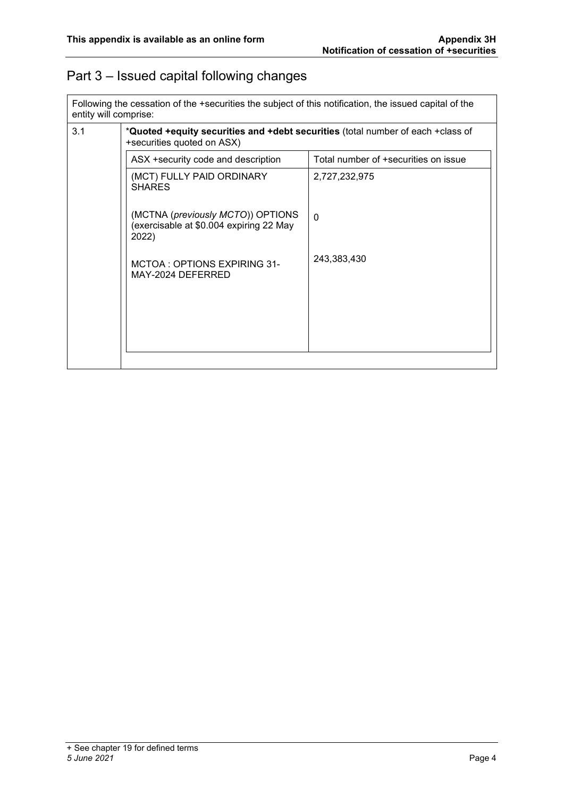#### Part 3 – Issued capital following changes

Following the cessation of the +securities the subject of this notification, the issued capital of the entity will comprise:

| 3.1 | *Quoted +equity securities and +debt securities (total number of each +class of<br>+securities quoted on ASX) |                                      |  |
|-----|---------------------------------------------------------------------------------------------------------------|--------------------------------------|--|
|     | ASX +security code and description                                                                            | Total number of +securities on issue |  |
|     | (MCT) FULLY PAID ORDINARY<br><b>SHARES</b>                                                                    | 2,727,232,975                        |  |
|     | (MCTNA (previously MCTO)) OPTIONS<br>(exercisable at \$0.004 expiring 22 May<br>2022)                         | $\Omega$                             |  |
|     | MCTOA: OPTIONS EXPIRING 31-<br>MAY-2024 DEFERRED                                                              | 243,383,430                          |  |
|     |                                                                                                               |                                      |  |
|     |                                                                                                               |                                      |  |